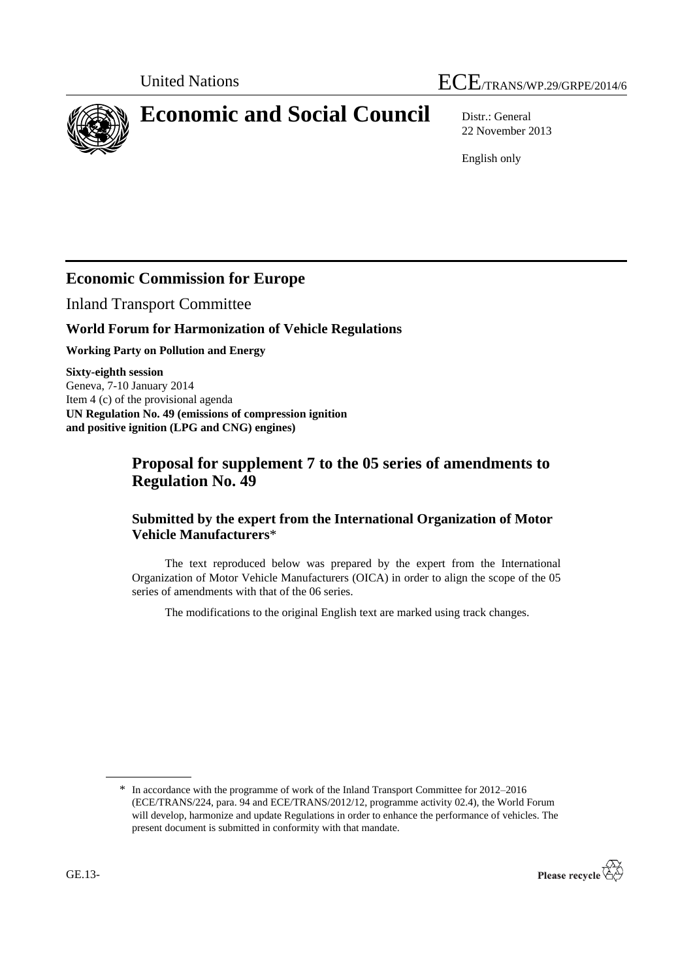

# **Economic and Social Council** Distr.: General

22 November 2013

English only

# **Economic Commission for Europe**

Inland Transport Committee

### **World Forum for Harmonization of Vehicle Regulations**

**Working Party on Pollution and Energy**

**Sixty-eighth session** Geneva, 7-10 January 2014 Item 4 (c) of the provisional agenda **UN Regulation No. 49 (emissions of compression ignition and positive ignition (LPG and CNG) engines)**

# **Proposal for supplement 7 to the 05 series of amendments to Regulation No. 49**

#### **Submitted by the expert from the International Organization of Motor Vehicle Manufacturers**\*

The text reproduced below was prepared by the expert from the International Organization of Motor Vehicle Manufacturers (OICA) in order to align the scope of the 05 series of amendments with that of the 06 series.

The modifications to the original English text are marked using track changes.

<sup>\*</sup> In accordance with the programme of work of the Inland Transport Committee for 2012–2016 (ECE/TRANS/224, para. 94 and ECE/TRANS/2012/12, programme activity 02.4), the World Forum will develop, harmonize and update Regulations in order to enhance the performance of vehicles. The present document is submitted in conformity with that mandate.